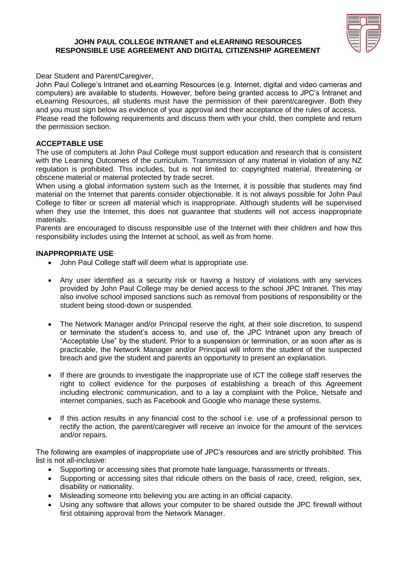

#### **JOHN PAUL COLLEGE INTRANET and eLEARNING RESOURCES RESPONSIBLE USE AGREEMENT AND DIGITAL CITIZENSHIP AGREEMENT**

Dear Student and Parent/Caregiver,

John Paul College's Intranet and eLearning Resources (e.g. Internet, digital and video cameras and computers) are available to students. However, before being granted access to JPC's Intranet and eLearning Resources, all students must have the permission of their parent/caregiver. Both they and you must sign below as evidence of your approval and their acceptance of the rules of access. Please read the following requirements and discuss them with your child, then complete and return the permission section.

#### **ACCEPTABLE USE**

The use of computers at John Paul College must support education and research that is consistent with the Learning Outcomes of the curriculum. Transmission of any material in violation of any NZ regulation is prohibited. This includes, but is not limited to: copyrighted material, threatening or obscene material or material protected by trade secret.

When using a global information system such as the Internet, it is possible that students may find material on the Internet that parents consider objectionable. It is not always possible for John Paul College to filter or screen all material which is inappropriate. Although students will be supervised when they use the Internet, this does not quarantee that students will not access inappropriate materials.

Parents are encouraged to discuss responsible use of the Internet with their children and how this responsibility includes using the Internet at school, as well as from home.

#### **INAPPROPRIATE USE**

- John Paul College staff will deem what is appropriate use.
- Any user identified as a security risk or having a history of violations with any services provided by John Paul College may be denied access to the school JPC Intranet. This may also involve school imposed sanctions such as removal from positions of responsibility or the student being stood-down or suspended.
- The Network Manager and/or Principal reserve the right, at their sole discretion, to suspend or terminate the student's access to, and use of, the JPC Intranet upon any breach of "Acceptable Use" by the student. Prior to a suspension or termination, or as soon after as is practicable, the Network Manager and/or Principal will inform the student of the suspected breach and give the student and parents an opportunity to present an explanation.
- If there are grounds to investigate the inappropriate use of ICT the college staff reserves the right to collect evidence for the purposes of establishing a breach of this Agreement including electronic communication, and to a lay a complaint with the Police, Netsafe and internet companies, such as Facebook and Google who manage these systems.
- If this action results in any financial cost to the school i.e. use of a professional person to rectify the action, the parent/caregiver will receive an invoice for the amount of the services and/or repairs.

The following are examples of inappropriate use of JPC's resources and are strictly prohibited. This list is not all-inclusive:

- Supporting or accessing sites that promote hate language, harassments or threats.
- Supporting or accessing sites that ridicule others on the basis of race, creed, religion, sex, disability or nationality.
- Misleading someone into believing you are acting in an official capacity.
- Using any software that allows your computer to be shared outside the JPC firewall without first obtaining approval from the Network Manager.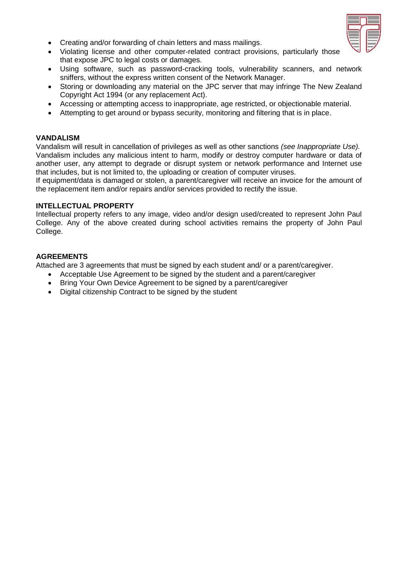

- Creating and/or forwarding of chain letters and mass mailings.
- Violating license and other computer-related contract provisions, particularly those that expose JPC to legal costs or damages.
- Using software, such as password-cracking tools, vulnerability scanners, and network sniffers, without the express written consent of the Network Manager.
- Storing or downloading any material on the JPC server that may infringe The New Zealand Copyright Act 1994 (or any replacement Act).
- Accessing or attempting access to inappropriate, age restricted, or objectionable material.
- Attempting to get around or bypass security, monitoring and filtering that is in place.

#### **VANDALISM**

Vandalism will result in cancellation of privileges as well as other sanctions *(see Inappropriate Use).* Vandalism includes any malicious intent to harm, modify or destroy computer hardware or data of another user, any attempt to degrade or disrupt system or network performance and Internet use that includes, but is not limited to, the uploading or creation of computer viruses.

If equipment/data is damaged or stolen, a parent/caregiver will receive an invoice for the amount of the replacement item and/or repairs and/or services provided to rectify the issue.

#### **INTELLECTUAL PROPERTY**

Intellectual property refers to any image, video and/or design used/created to represent John Paul College. Any of the above created during school activities remains the property of John Paul College.

#### **AGREEMENTS**

Attached are 3 agreements that must be signed by each student and/ or a parent/caregiver.

- Acceptable Use Agreement to be signed by the student and a parent/caregiver
- Bring Your Own Device Agreement to be signed by a parent/caregiver
- Digital citizenship Contract to be signed by the student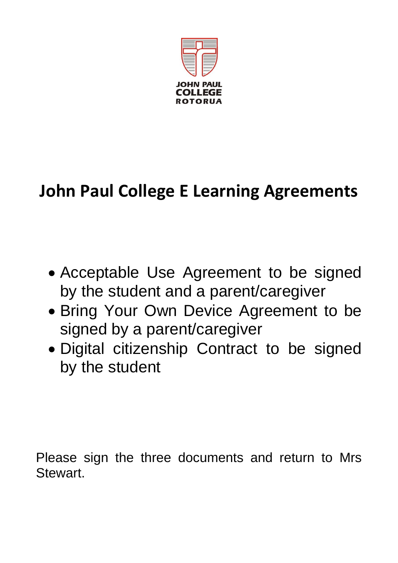

# **John Paul College E Learning Agreements**

- Acceptable Use Agreement to be signed by the student and a parent/caregiver
- Bring Your Own Device Agreement to be signed by a parent/caregiver
- Digital citizenship Contract to be signed by the student

Please sign the three documents and return to Mrs Stewart.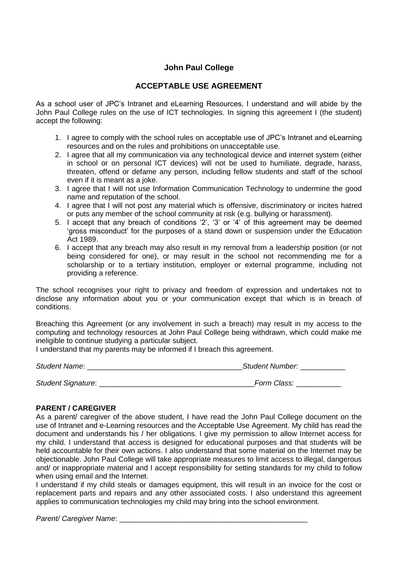## **John Paul College**

## **ACCEPTABLE USE AGREEMENT**

As a school user of JPC's Intranet and eLearning Resources, I understand and will abide by the John Paul College rules on the use of ICT technologies. In signing this agreement I (the student) accept the following:

- 1. I agree to comply with the school rules on acceptable use of JPC's Intranet and eLearning resources and on the rules and prohibitions on unacceptable use.
- 2. I agree that all my communication via any technological device and internet system (either in school or on personal ICT devices) will not be used to humiliate, degrade, harass, threaten, offend or defame any person, including fellow students and staff of the school even if it is meant as a joke.
- 3. I agree that I will not use Information Communication Technology to undermine the good name and reputation of the school.
- 4. I agree that I will not post any material which is offensive, discriminatory or incites hatred or puts any member of the school community at risk (e.g. bullying or harassment).
- 5. I accept that any breach of conditions '2', '3' or '4' of this agreement may be deemed 'gross misconduct' for the purposes of a stand down or suspension under the Education Act 1989.
- 6. I accept that any breach may also result in my removal from a leadership position (or not being considered for one), or may result in the school not recommending me for a scholarship or to a tertiary institution, employer or external programme, including not providing a reference.

The school recognises your right to privacy and freedom of expression and undertakes not to disclose any information about you or your communication except that which is in breach of conditions.

Breaching this Agreement (or any involvement in such a breach) may result in my access to the computing and technology resources at John Paul College being withdrawn, which could make me ineligible to continue studying a particular subject.

I understand that my parents may be informed if I breach this agreement.

| <b>Student Name:</b> | <b>Student Number.</b> |
|----------------------|------------------------|
|                      |                        |
| Student Signature:   | Form Class:            |

#### **PARENT / CAREGIVER**

As a parent/ caregiver of the above student, I have read the John Paul College document on the use of Intranet and e-Learning resources and the Acceptable Use Agreement. My child has read the document and understands his / her obligations. I give my permission to allow Internet access for my child. I understand that access is designed for educational purposes and that students will be held accountable for their own actions. I also understand that some material on the Internet may be objectionable. John Paul College will take appropriate measures to limit access to illegal, dangerous and/ or inappropriate material and I accept responsibility for setting standards for my child to follow when using email and the Internet.

I understand if my child steals or damages equipment, this will result in an invoice for the cost or replacement parts and repairs and any other associated costs. I also understand this agreement applies to communication technologies my child may bring into the school environment.

*Parent/ Caregiver Name:*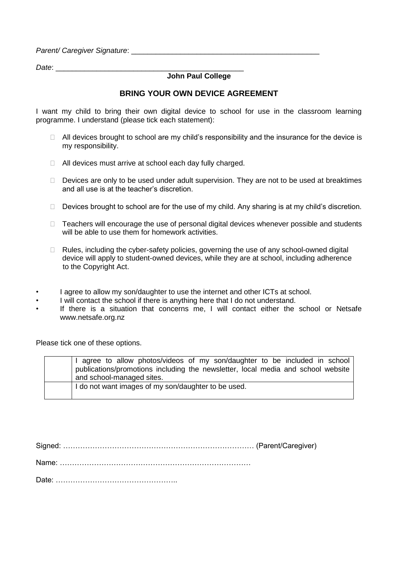*Parent/ Caregiver Signature*: \_\_\_\_\_\_\_\_\_\_\_\_\_\_\_\_\_\_\_\_\_\_\_\_\_\_\_\_\_\_\_\_\_\_\_\_\_\_\_\_\_\_\_\_\_\_

*Date*: \_\_\_\_\_\_\_\_\_\_\_\_\_\_\_\_\_\_\_\_\_\_\_\_\_\_\_\_\_\_\_\_\_\_\_\_\_\_\_\_\_\_\_\_\_\_

#### **John Paul College**

## **BRING YOUR OWN DEVICE AGREEMENT**

I want my child to bring their own digital device to school for use in the classroom learning programme. I understand (please tick each statement):

- $\Box$  All devices brought to school are my child's responsibility and the insurance for the device is my responsibility.
- □ All devices must arrive at school each day fully charged.
- $\Box$  Devices are only to be used under adult supervision. They are not to be used at breaktimes and all use is at the teacher's discretion.
- $\Box$  Devices brought to school are for the use of my child. Any sharing is at my child's discretion.
- $\Box$  Teachers will encourage the use of personal digital devices whenever possible and students will be able to use them for homework activities.
- $\Box$  Rules, including the cyber-safety policies, governing the use of any school-owned digital device will apply to student-owned devices, while they are at school, including adherence to the Copyright Act.
- I agree to allow my son/daughter to use the internet and other ICTs at school.
- I will contact the school if there is anything here that I do not understand.
- If there is a situation that concerns me, I will contact either the school or Netsafe [www.netsafe.org.nz](http://www.netsafe.org.nz/)

Please tick one of these options.

| I agree to allow photos/videos of my son/daughter to be included in school<br>publications/promotions including the newsletter, local media and school website<br>and school-managed sites. |
|---------------------------------------------------------------------------------------------------------------------------------------------------------------------------------------------|
| I do not want images of my son/daughter to be used.                                                                                                                                         |

Signed: …………………………………………………………………… (Parent/Caregiver)

Name: ……………………………………………………………………

Date: …………………………………………..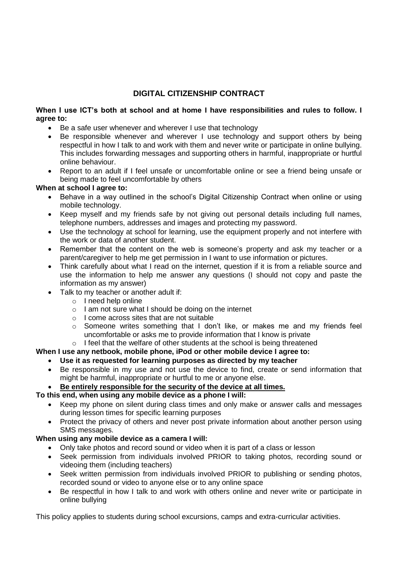# **DIGITAL CITIZENSHIP CONTRACT**

#### **When I use ICT's both at school and at home I have responsibilities and rules to follow. I agree to:**

- Be a safe user whenever and wherever I use that technology
- Be responsible whenever and wherever I use technology and support others by being respectful in how I talk to and work with them and never write or participate in online bullying. This includes forwarding messages and supporting others in harmful, inappropriate or hurtful online behaviour.
- Report to an adult if I feel unsafe or uncomfortable online or see a friend being unsafe or being made to feel uncomfortable by others

#### **When at school I agree to:**

- Behave in a way outlined in the school's Digital Citizenship Contract when online or using mobile technology.
- Keep myself and my friends safe by not giving out personal details including full names, telephone numbers, addresses and images and protecting my password.
- Use the technology at school for learning, use the equipment properly and not interfere with the work or data of another student.
- Remember that the content on the web is someone's property and ask my teacher or a parent/caregiver to help me get permission in I want to use information or pictures.
- Think carefully about what I read on the internet, question if it is from a reliable source and use the information to help me answer any questions (I should not copy and paste the information as my answer)
- Talk to my teacher or another adult if:
	- o I need help online
	- $\circ$  I am not sure what I should be doing on the internet
	- $\circ$  I come across sites that are not suitable
	- $\circ$  Someone writes something that I don't like, or makes me and my friends feel uncomfortable or asks me to provide information that I know is private
	- o I feel that the welfare of other students at the school is being threatened

## **When I use any netbook, mobile phone, iPod or other mobile device I agree to:**

- **Use it as requested for learning purposes as directed by my teacher**
	- Be responsible in my use and not use the device to find, create or send information that might be harmful, inappropriate or hurtful to me or anyone else.

## **Be entirely responsible for the security of the device at all times.**

## **To this end, when using any mobile device as a phone I will:**

- Keep my phone on silent during class times and only make or answer calls and messages during lesson times for specific learning purposes
- Protect the privacy of others and never post private information about another person using SMS messages.

## **When using any mobile device as a camera I will:**

- Only take photos and record sound or video when it is part of a class or lesson
- Seek permission from individuals involved PRIOR to taking photos, recording sound or videoing them (including teachers)
- Seek written permission from individuals involved PRIOR to publishing or sending photos, recorded sound or video to anyone else or to any online space
- Be respectful in how I talk to and work with others online and never write or participate in online bullying

This policy applies to students during school excursions, camps and extra-curricular activities.